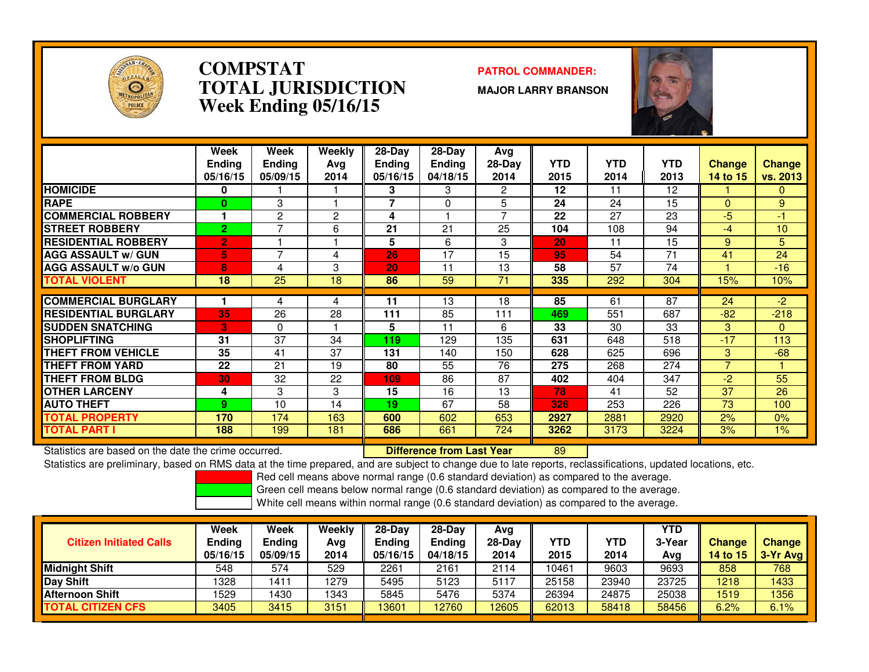

### **COMPSTAT PATROL COMMANDER: TOTAL JURISDICTIONWeek Ending 05/16/15**

**MAJOR LARRY BRANSON**



|                             | Week<br>Ending<br>05/16/15 | Week<br><b>Ending</b><br>05/09/15 | Weekly<br>Ava<br>2014 | $28-Dav$<br><b>Ending</b><br>05/16/15 | $28-Day$<br><b>Ending</b><br>04/18/15 | Avg<br>28-Day<br>2014 | <b>YTD</b><br>2015 | <b>YTD</b><br>2014 | YTD<br>2013 | <b>Change</b><br>14 to 15 | Change<br>vs. 2013 |
|-----------------------------|----------------------------|-----------------------------------|-----------------------|---------------------------------------|---------------------------------------|-----------------------|--------------------|--------------------|-------------|---------------------------|--------------------|
| <b>HOMICIDE</b>             | 0                          |                                   |                       | 3                                     | 3                                     | 2                     | $12 \,$            | 11                 | 12          |                           | $\mathbf{0}$       |
| <b>RAPE</b>                 | 0                          | 3                                 |                       | 7                                     | $\Omega$                              | 5                     | 24                 | 24                 | 15          | $\Omega$                  | 9                  |
| <b>COMMERCIAL ROBBERY</b>   |                            | 2                                 | 2                     | 4                                     |                                       | $\overline{ }$        | 22                 | 27                 | 23          | -5                        | -1                 |
| <b>STREET ROBBERY</b>       | $\overline{2}$             | ⇁                                 | 6                     | 21                                    | 21                                    | 25                    | 104                | 108                | 94          | -4                        | 10                 |
| <b>RESIDENTIAL ROBBERY</b>  | $\overline{2}$             |                                   |                       | 5                                     | 6                                     | 3                     | 20                 | 11                 | 15          | 9                         | 5                  |
| <b>AGG ASSAULT w/ GUN</b>   | 5                          | $\overline{ }$                    | 4                     | 26                                    | 17                                    | 15                    | 95                 | 54                 | 71          | 41                        | 24                 |
| <b>AGG ASSAULT w/o GUN</b>  | 8                          | 4                                 | 3                     | 20                                    | 11                                    | 13                    | 58                 | 57                 | 74          |                           | $-16$              |
| <b>TOTAL VIOLENT</b>        | 18                         | 25                                | 18                    | 86                                    | 59                                    | 71                    | 335                | 292                | 304         | 15%                       | 10%                |
|                             |                            |                                   |                       |                                       |                                       |                       |                    |                    |             |                           |                    |
| <b>COMMERCIAL BURGLARY</b>  |                            | 4                                 | 4                     | 11                                    | 13                                    | 18                    | 85                 | 61                 | 87          | 24                        | -2.                |
| <b>RESIDENTIAL BURGLARY</b> | 35                         | 26                                | 28                    | 111                                   | 85                                    | 111                   | 469                | 551                | 687         | $-82$                     | $-218$             |
| <b>SUDDEN SNATCHING</b>     | B                          | 0                                 |                       | 5.                                    | 11                                    | 6                     | 33                 | 30                 | 33          | 3                         | $\Omega$           |
| <b>SHOPLIFTING</b>          | 31                         | 37                                | 34                    | 119                                   | 129                                   | 135                   | 631                | 648                | 518         | $-17$                     | 113                |
| <b>THEFT FROM VEHICLE</b>   | 35                         | 41                                | 37                    | 131                                   | 140                                   | 150                   | 628                | 625                | 696         | 3                         | $-68$              |
| <b>THEFT FROM YARD</b>      | 22                         | 21                                | 19                    | 80                                    | 55                                    | 76                    | 275                | 268                | 274         | $\overline{7}$            |                    |
| <b>THEFT FROM BLDG</b>      | 30                         | 32                                | 22                    | 109                                   | 86                                    | 87                    | 402                | 404                | 347         | $-2$                      | 55                 |
| <b>OTHER LARCENY</b>        | 4                          | 3                                 | 3                     | 15                                    | 16                                    | 13                    | 78                 | 41                 | 52          | 37                        | 26                 |
| <b>AUTO THEFT</b>           | 9                          | 10                                | 14                    | 19                                    | 67                                    | 58                    | 326                | 253                | 226         | 73                        | 100                |
| TOTAL PROPERTY              | 170                        | 174                               | 163                   | 600                                   | 602                                   | 653                   | 2927               | 2881               | 2920        | 2%                        | 0%                 |
| <b>TOTAL PART I</b>         | 188                        | 199                               | 181                   | 686                                   | 661                                   | 724                   | 3262               | 3173               | 3224        | 3%                        | $1\%$              |

Statistics are based on the date the crime occurred. **Difference from Last Year** 

Statistics are based on the date the crime occurred. **Interpree the Statistic Liberary Conducts are conducts** are<br>Statistics are preliminary, based on RMS data at the time prepared, and are subject to change due to late re

Red cell means above normal range (0.6 standard deviation) as compared to the average.

Green cell means below normal range (0.6 standard deviation) as compared to the average.

| <b>Citizen Initiated Calls</b> | Week<br>Ending<br>05/16/15 | <b>Week</b><br>Ending<br>05/09/15 | Weekly<br>Avg<br>2014 | 28-Dav<br>Ending<br>05/16/15 | $28-Day$<br><b>Ending</b><br>04/18/15 | Avg<br>$28-Dav$<br>2014 | <b>YTD</b><br>2015 | YTD<br>2014 | <b>YTD</b><br>3-Year<br>Avg | <b>Change</b><br>14 to 15 | Change<br>$3-Yr$ Avg |
|--------------------------------|----------------------------|-----------------------------------|-----------------------|------------------------------|---------------------------------------|-------------------------|--------------------|-------------|-----------------------------|---------------------------|----------------------|
| Midniaht Shift                 | 548                        | 574                               | 529                   | 2261                         | 2161                                  | 2114                    | 10461              | 9603        | 9693                        | 858                       | 768                  |
| Day Shift                      | 1328                       | 1411                              | 1279                  | 5495                         | 5123                                  | 5117                    | 25158              | 23940       | 23725                       | 1218                      | 1433                 |
| <b>Afternoon Shift</b>         | 1529                       | 430                               | 1343                  | 5845                         | 5476                                  | 5374                    | 26394              | 24875       | 25038                       | 1519                      | 1356                 |
| <b>TOTAL CITIZEN CFS</b>       | 3405                       | 3415                              | 3151                  | 13601                        | 12760                                 | 12605                   | 62013              | 58418       | 58456                       | 6.2%                      | 6.1%                 |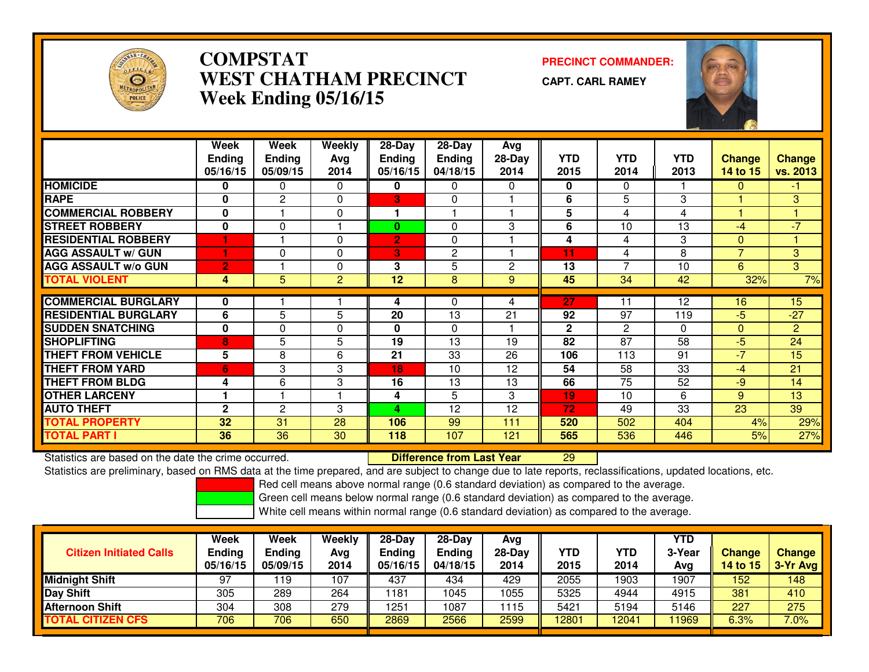

# **COMPSTAT PRECINCT COMMANDER: WEST CHATHAM PRECINCTWeek Ending 05/16/15**

**CAPT. CARL RAMEY**



|                             | Week           | Week          | <b>Weekly</b> | $28 - Day$     | $28 - Day$    | <b>Avg</b> |              |                |            |                |                 |
|-----------------------------|----------------|---------------|---------------|----------------|---------------|------------|--------------|----------------|------------|----------------|-----------------|
|                             | <b>Endina</b>  | <b>Ending</b> | Avg           | <b>Ending</b>  | <b>Ending</b> | $28-Day$   | <b>YTD</b>   | <b>YTD</b>     | <b>YTD</b> | <b>Change</b>  | <b>Change</b>   |
|                             | 05/16/15       | 05/09/15      | 2014          | 05/16/15       | 04/18/15      | 2014       | 2015         | 2014           | 2013       | 14 to 15       | <b>vs. 2013</b> |
| <b>HOMICIDE</b>             | 0              | 0             | $\Omega$      | 0              | 0             | 0          | 0            | $\Omega$       |            | 0              | -1.             |
| <b>RAPE</b>                 | $\bf{0}$       | 2             | $\Omega$      | 3              | $\mathbf{0}$  |            | 6            | 5              | 3          |                | 3               |
| <b>COMMERCIAL ROBBERY</b>   | $\bf{0}$       |               | $\Omega$      |                |               |            | 5            | 4              | 4          |                | 1               |
| <b>STREET ROBBERY</b>       | $\bf{0}$       | 0             |               | $\bf{0}$       | 0             | 3          | 6            | 10             | 13         | -4             | $-7$            |
| <b>RESIDENTIAL ROBBERY</b>  |                |               | $\Omega$      | $\overline{2}$ | $\mathbf{0}$  |            | 4            | 4              | 3          | $\Omega$       | 4               |
| <b>AGG ASSAULT w/ GUN</b>   |                | $\Omega$      | $\mathbf 0$   | 3              | 2             |            | 11           | 4              | 8          | $\overline{ }$ | 3               |
| <b>AGG ASSAULT w/o GUN</b>  | $\overline{2}$ |               | $\Omega$      | 3              | 5             | 2          | 13           | $\overline{ }$ | 10         | 6              | 3               |
| <b>TOTAL VIOLENT</b>        | 4              | 5             | 2             | 12             | 8             | 9          | 45           | 34             | 42         | 32%            | 7%              |
|                             |                |               |               |                |               |            | 27           | 11             | 12         |                |                 |
| <b>COMMERCIAL BURGLARY</b>  | 0              |               |               | 4              | 0             | 4          |              |                |            | 16             | 15              |
| <b>RESIDENTIAL BURGLARY</b> | 6              | 5             | 5             | 20             | 13            | 21         | 92           | 97             | 119        | $-5$           | $-27$           |
| <b>SUDDEN SNATCHING</b>     | $\mathbf 0$    | 0             | 0             | 0              | $\Omega$      |            | $\mathbf{2}$ | $\mathbf{2}$   | $\Omega$   | $\Omega$       | $\overline{2}$  |
| <b>SHOPLIFTING</b>          | 8              | 5             | 5             | 19             | 13            | 19         | 82           | 87             | 58         | $-5$           | 24              |
| <b>THEFT FROM VEHICLE</b>   | 5              | 8             | 6             | 21             | 33            | 26         | 106          | 113            | 91         | $-7$           | 15              |
| <b>THEFT FROM YARD</b>      | 6              | 3             | 3             | 18             | 10            | 12         | 54           | 58             | 33         | -4             | 21              |
| <b>THEFT FROM BLDG</b>      | 4              | 6             | 3             | 16             | 13            | 13         | 66           | 75             | 52         | $-9$           | 14              |
| <b>OTHER LARCENY</b>        |                |               |               | 4              | 5             | 3          | 19           | 10             | 6          | 9              | 13              |
| <b>AUTO THEFT</b>           | $\mathbf{2}$   | 2             | 3             | 4              | 12            | 12         | 72           | 49             | 33         | 23             | 39              |
| <b>TOTAL PROPERTY</b>       | 32             | 31            | 28            | 106            | 99            | 111        | 520          | 502            | 404        | 4%             | 29%             |
| <b>TOTAL PART I</b>         | 36             | 36            | 30            | 118            | 107           | 121        | 565          | 536            | 446        | 5%             | 27%             |

Statistics are based on the date the crime occurred. **Difference from Last Year**  <sup>29</sup>Statistics are preliminary, based on RMS data at the time prepared, and are subject to change due to late reports, reclassifications, updated locations, etc.

Red cell means above normal range (0.6 standard deviation) as compared to the average.

Green cell means below normal range (0.6 standard deviation) as compared to the average.

| <b>Citizen Initiated Calls</b> | Week<br><b>Ending</b><br>05/16/15 | Week<br><b>Ending</b><br>05/09/15 | Weekly<br>Avg<br>2014 | $28-Dav$<br>Ending<br>05/16/15 | $28-Day$<br><b>Ending</b><br>04/18/15 | Avg<br>$28-Day$<br>2014 | YTD<br>2015 | <b>YTD</b><br>2014 | YTD<br>3-Year<br>Avg | <b>Change</b><br>14 to 15 | <b>Change</b><br>3-Yr Avg |
|--------------------------------|-----------------------------------|-----------------------------------|-----------------------|--------------------------------|---------------------------------------|-------------------------|-------------|--------------------|----------------------|---------------------------|---------------------------|
| <b>Midnight Shift</b>          | 97                                | 19                                | 107                   | 437                            | 434                                   | 429                     | 2055        | 1903               | 1907                 | 152                       | 148                       |
| <b>Day Shift</b>               | 305                               | 289                               | 264                   | 1181                           | 1045                                  | 1055                    | 5325        | 4944               | 4915                 | 381                       | 410                       |
| <b>Afternoon Shift</b>         | 304                               | 308                               | 279                   | 1251                           | 1087                                  | 1115                    | 5421        | 5194               | 5146                 | 227                       | 275                       |
| <b>TOTAL CITIZEN CFS</b>       | 706                               | 706                               | 650                   | 2869                           | 2566                                  | 2599                    | 12801       | 12041              | 11969                | 6.3%                      | 7.0%                      |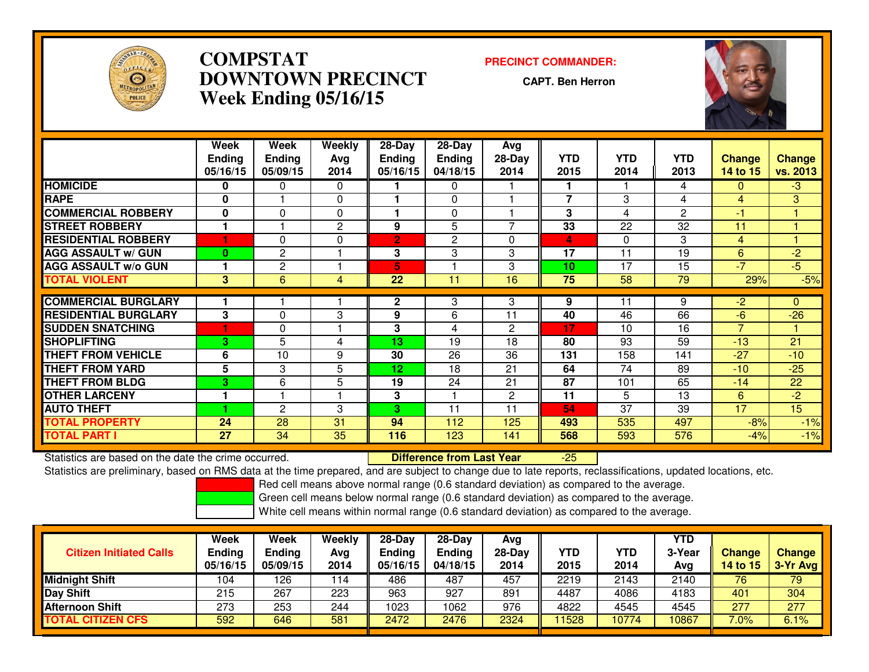

# **COMPSTAT PRECINCT COMMANDER: DOWNTOWN PRECINCTWeek Ending 05/16/15**

**CAPT. Ben Herron**



|                             | Week          | Week           | Weekly       | 28-Day          | 28-Day        | <b>Avg</b>   |                |            |              |                |                |
|-----------------------------|---------------|----------------|--------------|-----------------|---------------|--------------|----------------|------------|--------------|----------------|----------------|
|                             | <b>Ending</b> | <b>Ending</b>  | Avg          | <b>Ending</b>   | <b>Ending</b> | $28-Day$     | YTD            | <b>YTD</b> | <b>YTD</b>   | <b>Change</b>  | <b>Change</b>  |
|                             | 05/16/15      | 05/09/15       | 2014         | 05/16/15        | 04/18/15      | 2014         | 2015           | 2014       | 2013         | 14 to 15       | vs. 2013       |
| <b>HOMICIDE</b>             | 0             | 0              | $\Omega$     |                 | 0             |              |                |            | 4            | $\Omega$       | $-3$           |
| <b>RAPE</b>                 | 0             |                | $\Omega$     |                 | 0             |              | $\overline{7}$ | 3          | 4            | 4              | 3              |
| <b>COMMERCIAL ROBBERY</b>   | $\bf{0}$      | $\Omega$       | $\Omega$     |                 | 0             |              | 3              | 4          | $\mathbf{2}$ | $-1$           |                |
| <b>STREET ROBBERY</b>       |               |                | $\mathbf{2}$ | 9               | 5             | 7            | 33             | 22         | 32           | 11             |                |
| <b>RESIDENTIAL ROBBERY</b>  |               | $\Omega$       | $\Omega$     | $\overline{2}$  | 2             | 0            | 4              | $\Omega$   | 3            | 4              |                |
| <b>AGG ASSAULT w/ GUN</b>   | $\bf{0}$      | $\overline{2}$ |              | 3               | 3             | 3            | 17             | 11         | 19           | 6              | $-2$           |
| <b>AGG ASSAULT w/o GUN</b>  |               | $\overline{2}$ |              | 5               |               | 3            | 10             | 17         | 15           | $\overline{7}$ | $-5$           |
| <b>TOTAL VIOLENT</b>        | 3             | 6              | 4            | 22              | 11            | 16           | 75             | 58         | 79           | 29%            | $-5%$          |
| <b>COMMERCIAL BURGLARY</b>  |               |                |              | $\mathbf{2}$    | 3             | 3            | 9              | 11         | 9            | $-2$           | $\overline{0}$ |
|                             |               |                |              |                 |               |              |                |            |              |                |                |
| <b>RESIDENTIAL BURGLARY</b> | 3             | $\Omega$       | 3            | 9               | 6             | 11           | 40             | 46         | 66           | $-6$           | $-26$          |
| <b>SUDDEN SNATCHING</b>     |               | 0              |              | 3               | 4             | $\mathbf{2}$ | 17             | 10         | 16           | $\overline{7}$ |                |
| <b>SHOPLIFTING</b>          | 3.            | 5              | 4            | 13              | 19            | 18           | 80             | 93         | 59           | $-13$          | 21             |
| <b>THEFT FROM VEHICLE</b>   | 6             | 10             | 9            | 30              | 26            | 36           | 131            | 158        | 141          | $-27$          | $-10$          |
| <b>THEFT FROM YARD</b>      | 5             | 3              | 5            | 12 <sub>2</sub> | 18            | 21           | 64             | 74         | 89           | $-10$          | $-25$          |
| <b>THEFT FROM BLDG</b>      | 3             | 6              | 5            | 19              | 24            | 21           | 87             | 101        | 65           | $-14$          | 22             |
| <b>OTHER LARCENY</b>        |               |                |              | 3               |               | 2            | 11             | 5          | 13           | 6              | $-2$           |
| <b>AUTO THEFT</b>           |               | 2              | 3            | 3               | 11            | 11           | 54             | 37         | 39           | 17             | 15             |
| <b>TOTAL PROPERTY</b>       | 24            | 28             | 31           | 94              | 112           | 125          | 493            | 535        | 497          | $-8%$          | $-1%$          |
| <b>TOTAL PART I</b>         | 27            | 34             | 35           | 116             | 123           | 141          | 568            | 593        | 576          | $-4%$          | $-1%$          |

Statistics are based on the date the crime occurred. **Difference from Last Year**  -25Statistics are preliminary, based on RMS data at the time prepared, and are subject to change due to late reports, reclassifications, updated locations, etc.

Red cell means above normal range (0.6 standard deviation) as compared to the average.

Green cell means below normal range (0.6 standard deviation) as compared to the average.

| <b>Citizen Initiated Calls</b> | Week<br><b>Ending</b><br>05/16/15 | Week<br><b>Ending</b><br>05/09/15 | Weekly<br>Avg<br>2014 | $28-Day$<br>Ending<br>05/16/15 | $28-Day$<br><b>Ending</b><br>04/18/15 | Avg<br>$28-Day$<br>2014 | YTD<br>2015 | <b>YTD</b><br>2014 | YTD<br>3-Year<br>Avg | <b>Change</b><br><b>14 to 15</b> | <b>Change</b><br>3-Yr Avg |
|--------------------------------|-----------------------------------|-----------------------------------|-----------------------|--------------------------------|---------------------------------------|-------------------------|-------------|--------------------|----------------------|----------------------------------|---------------------------|
| <b>Midnight Shift</b>          | 104                               | 126                               | 114                   | 486                            | 487                                   | 457                     | 2219        | 2143               | 2140                 | 76                               | 79                        |
| <b>Day Shift</b>               | 215                               | 267                               | 223                   | 963                            | 927                                   | 891                     | 4487        | 4086               | 4183                 | 401                              | 304                       |
| Afternoon Shift                | 273                               | 253                               | 244                   | 1023                           | 1062                                  | 976                     | 4822        | 4545               | 4545                 | 277                              | 277                       |
| <b>TOTAL CITIZEN CFS</b>       | 592                               | 646                               | 581                   | 2472                           | 2476                                  | 2324                    | 11528       | 10774              | 10867                | 7.0%                             | 6.1%                      |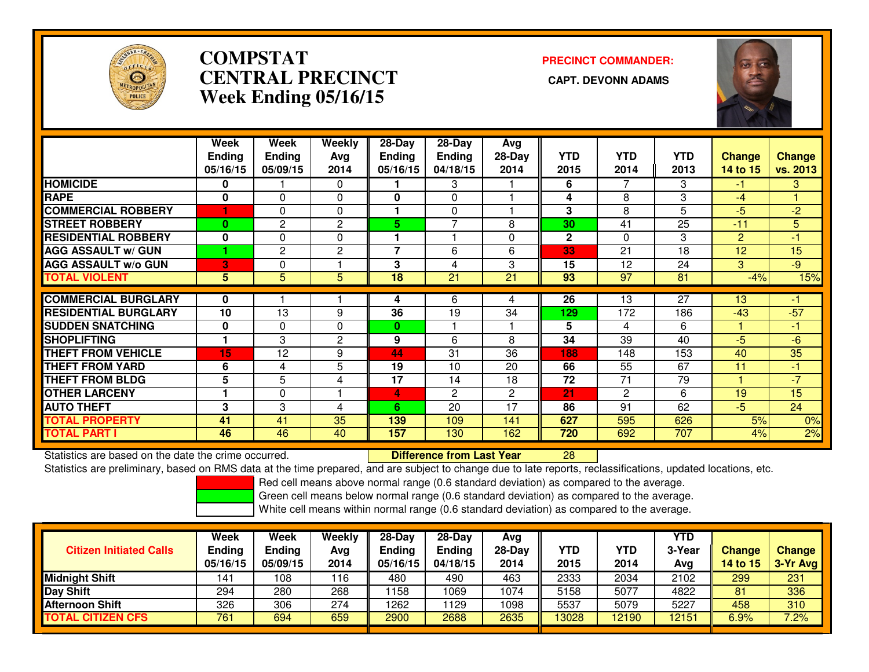

# **COMPSTATCENTRAL PRECINCT Week Ending 05/16/15**

**PRECINCT COMMANDER:**



|                             | Week<br><b>Ending</b><br>05/16/15 | Week<br><b>Ending</b><br>05/09/15 | Weekly<br>Avg<br>2014 | 28-Day<br><b>Ending</b><br>05/16/15 | 28-Day<br><b>Ending</b><br>04/18/15 | Avg<br>$28-Day$<br>2014 | <b>YTD</b><br>2015 | <b>YTD</b><br>2014 | <b>YTD</b><br>2013 | <b>Change</b><br>14 to 15 | <b>Change</b><br>vs. 2013 |
|-----------------------------|-----------------------------------|-----------------------------------|-----------------------|-------------------------------------|-------------------------------------|-------------------------|--------------------|--------------------|--------------------|---------------------------|---------------------------|
| <b>HOMICIDE</b>             | 0                                 |                                   | $\Omega$              |                                     | 3                                   |                         | 6                  |                    | 3                  | -1                        | 3                         |
| <b>RAPE</b>                 | $\bf{0}$                          | 0                                 | $\Omega$              | 0                                   | 0                                   |                         | 4                  | 8                  | 3                  | $-4$                      |                           |
| <b>COMMERCIAL ROBBERY</b>   |                                   | $\Omega$                          | $\Omega$              |                                     | 0                                   |                         | 3                  | 8                  | 5                  | -5                        | $-2$                      |
|                             |                                   |                                   |                       |                                     |                                     |                         |                    |                    |                    |                           |                           |
| <b>STREET ROBBERY</b>       | $\mathbf{0}$                      | $\overline{2}$                    | $\mathbf{2}$          | 5                                   | $\overline{7}$                      | 8                       | 30                 | 41                 | 25                 | $-11$                     | 5                         |
| <b>RESIDENTIAL ROBBERY</b>  | $\bf{0}$                          | 0                                 | $\Omega$              |                                     |                                     | 0                       | $\mathbf{2}$       | $\Omega$           | 3                  | $\overline{2}$            | -1                        |
| <b>AGG ASSAULT w/ GUN</b>   | 4                                 | 2                                 | 2                     | 7                                   | 6                                   | 6                       | 33                 | 21                 | 18                 | 12                        | 15                        |
| <b>AGG ASSAULT w/o GUN</b>  | 3                                 | 0                                 |                       | 3                                   | 4                                   | 3                       | 15                 | 12                 | 24                 | 3                         | $-9$                      |
| <b>TOTAL VIOLENT</b>        | 5.                                | 5                                 | 5                     | 18                                  | 21                                  | 21                      | 93                 | 97                 | 81                 | $-4%$                     | 15%                       |
|                             |                                   |                                   |                       |                                     |                                     |                         |                    |                    |                    |                           |                           |
| <b>COMMERCIAL BURGLARY</b>  | 0                                 |                                   |                       | 4                                   | 6                                   | 4                       | 26                 | 13                 | 27                 | 13                        | -1                        |
| <b>RESIDENTIAL BURGLARY</b> | 10                                | 13                                | 9                     | 36                                  | 19                                  | 34                      | 129                | 172                | 186                | $-43$                     | $-57$                     |
| <b>SUDDEN SNATCHING</b>     | $\mathbf 0$                       | $\Omega$                          | $\Omega$              | 0                                   |                                     |                         | 5                  | 4                  | 6                  |                           | -1                        |
| <b>ISHOPLIFTING</b>         |                                   | 3                                 | $\mathbf{2}$          | 9                                   | 6                                   | 8                       | 34                 | 39                 | 40                 | -5                        | $-6$                      |
| <b>THEFT FROM VEHICLE</b>   | 15                                | 12                                | 9                     | 44                                  | 31                                  | 36                      | 188                | 148                | 153                | 40                        | 35                        |
| <b>THEFT FROM YARD</b>      | 6                                 | 4                                 | 5                     | 19                                  | 10                                  | 20                      | 66                 | 55                 | 67                 | 11                        | -1                        |
| <b>THEFT FROM BLDG</b>      | 5                                 | 5                                 | 4                     | 17                                  | 14                                  | 18                      | 72                 | 71                 | 79                 |                           | $-7$                      |
| <b>OTHER LARCENY</b>        |                                   | 0                                 |                       | 4                                   | $\overline{2}$                      | $\overline{c}$          | 21                 | $\mathbf{2}$       | 6                  | 19                        | 15                        |
| <b>AUTO THEFT</b>           | 3                                 | 3                                 | 4                     | 6.                                  | 20                                  | 17                      | 86                 | 91                 | 62                 | $-5$                      | 24                        |
| <b>TOTAL PROPERTY</b>       | 41                                | 41                                | 35                    | 139                                 | 109                                 | 141                     | 627                | 595                | 626                | 5%                        | 0%                        |
| <b>TOTAL PART I</b>         | 46                                | 46                                | 40                    | 157                                 | 130                                 | 162                     | 720                | 692                | 707                | 4%                        | 2%                        |

Statistics are based on the date the crime occurred. **Difference from Last Year** 

Statistics are based on the date the crime occurred.<br>Statistics are preliminary, based on RMS data at the time prepared, and are subject to change due to late reports, reclassifications, updated locations, etc.

Red cell means above normal range (0.6 standard deviation) as compared to the average.

Green cell means below normal range (0.6 standard deviation) as compared to the average.

| <b>Citizen Initiated Calls</b> | Week<br><b>Ending</b><br>05/16/15 | Week<br><b>Ending</b><br>05/09/15 | Weekly<br>Avg<br>2014 | 28-Day<br><b>Ending</b><br>05/16/15 | $28-Dav$<br><b>Ending</b><br>04/18/15 | Ava<br>$28-Day$<br>2014 | <b>YTD</b><br>2015 | YTD<br>2014 | YTD<br>3-Year<br>Avg | <b>Change</b><br>14 to $15$ | <b>Change</b><br>3-Yr Avg |
|--------------------------------|-----------------------------------|-----------------------------------|-----------------------|-------------------------------------|---------------------------------------|-------------------------|--------------------|-------------|----------------------|-----------------------------|---------------------------|
| Midnight Shift                 | 141                               | 108                               | 116                   | 480                                 | 490                                   | 463                     | 2333               | 2034        | 2102                 | 299                         | 231                       |
| Day Shift                      | 294                               | 280                               | 268                   | 158                                 | 069                                   | 1074                    | 5158               | 5077        | 4822                 | 81                          | 336                       |
| Afternoon Shift                | 326                               | 306                               | 274                   | 1262                                | 129                                   | 1098                    | 5537               | 5079        | 5227                 | 458                         | 310                       |
| <b>TOTAL CITIZEN CFS</b>       | 761                               | 694                               | 659                   | 2900                                | 2688                                  | 2635                    | 13028              | 12190       | 12151                | 6.9%                        | 7.2%                      |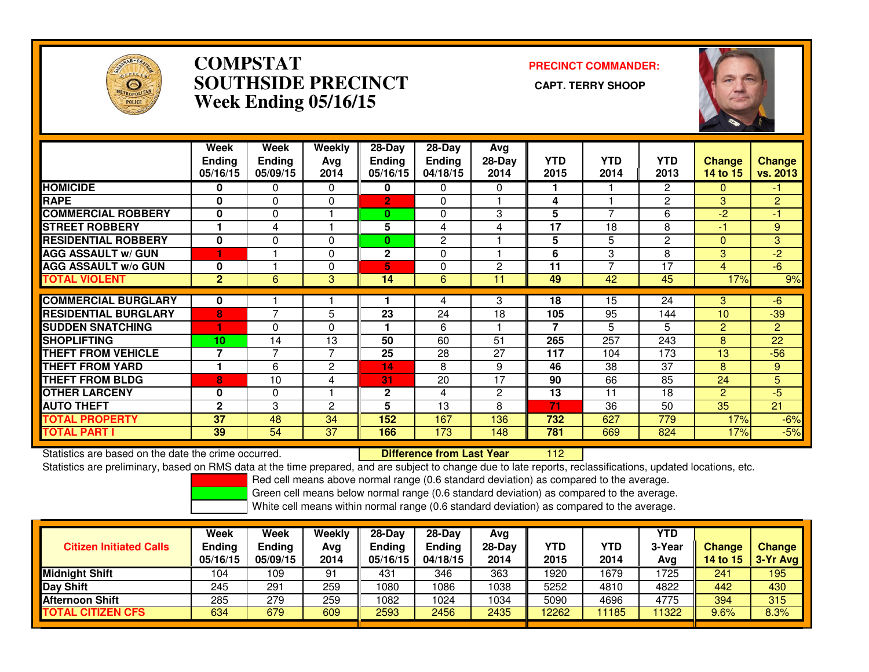

### **COMPSTAT PRECINCT COMMANDER: SOUTHSIDE PRECINCT CAPT. TERRY SHOOPWeek Ending 05/16/15**



|                             | Week<br><b>Ending</b><br>05/16/15 | Week<br><b>Ending</b><br>05/09/15 | Weekly<br>Avg<br>2014 | $28-Day$<br><b>Ending</b><br>05/16/15 | $28-Day$<br>Ending<br>04/18/15 | Avg<br>28-Day<br>2014 | <b>YTD</b><br>2015 | <b>YTD</b><br>2014       | <b>YTD</b><br>2013 | <b>Change</b><br><b>14 to 15</b> | Change<br>vs. 2013 |
|-----------------------------|-----------------------------------|-----------------------------------|-----------------------|---------------------------------------|--------------------------------|-----------------------|--------------------|--------------------------|--------------------|----------------------------------|--------------------|
| <b>HOMICIDE</b>             | 0                                 | 0                                 | $\Omega$              | 0                                     | 0                              | 0                     |                    |                          | $\overline{2}$     | $\Omega$                         | $-1$               |
| <b>RAPE</b>                 | $\bf{0}$                          | $\Omega$                          | $\Omega$              | 2                                     | 0                              |                       | 4                  |                          | 2                  | 3                                | $\overline{2}$     |
| <b>ICOMMERCIAL ROBBERY</b>  | 0                                 | $\Omega$                          |                       | 0                                     | 0                              | 3                     | 5                  | $\overline{\phantom{a}}$ | 6                  | $-2$                             | $-1$               |
| <b>STREET ROBBERY</b>       |                                   | 4                                 |                       | 5                                     | 4                              | 4                     | 17                 | 18                       | 8                  | -1                               | 9                  |
| <b>RESIDENTIAL ROBBERY</b>  | 0                                 | $\Omega$                          | $\Omega$              | $\bf{0}$                              | $\overline{2}$                 |                       | 5                  | 5                        | $\overline{2}$     | $\Omega$                         | 3                  |
| <b>AGG ASSAULT w/ GUN</b>   |                                   |                                   | $\Omega$              | $\mathbf{2}$                          | 0                              |                       | 6                  | 3                        | 8                  | 3                                | $-2$               |
| <b>AGG ASSAULT w/o GUN</b>  | 0                                 |                                   | $\Omega$              | 5                                     | 0                              | 2                     | 11                 | ⇁                        | 17                 | 4                                | $-6$               |
| <b>TOTAL VIOLENT</b>        | $\overline{2}$                    | 6                                 | 3                     | 14                                    | 6                              | 11                    | 49                 | 42                       | 45                 | 17%                              | 9%                 |
| <b>COMMERCIAL BURGLARY</b>  | 0                                 |                                   |                       |                                       | 4                              | 3                     | 18                 | 15                       | 24                 | 3                                | $-6$               |
| <b>RESIDENTIAL BURGLARY</b> | 8                                 | $\overline{ }$                    | 5                     | 23                                    | 24                             | 18                    | 105                | 95                       | 144                | 10                               | $-39$              |
| <b>SUDDEN SNATCHING</b>     |                                   | $\Omega$                          | $\Omega$              |                                       | 6                              |                       | 7                  | 5                        | 5                  | $\overline{2}$                   | $\overline{2}$     |
| <b>SHOPLIFTING</b>          | 10                                | 14                                | 13                    | 50                                    | 60                             | 51                    | 265                | $\overline{257}$         | 243                | 8                                | 22                 |
| <b>THEFT FROM VEHICLE</b>   | 7                                 | 7                                 | 7                     | 25                                    | 28                             | 27                    | 117                | 104                      | 173                | 13                               | $-56$              |
| <b>THEFT FROM YARD</b>      |                                   | 6                                 | 2                     | 14                                    | 8                              | 9                     | 46                 | 38                       | 37                 | 8                                | 9                  |
| <b>THEFT FROM BLDG</b>      | 8                                 | 10                                | 4                     | 31                                    | 20                             | 17                    | 90                 | 66                       | 85                 | 24                               | $\overline{5}$     |
| <b>OTHER LARCENY</b>        | 0                                 | $\Omega$                          |                       | $\mathbf{2}$                          | 4                              | 2                     | 13                 | 11                       | 18                 | $\overline{2}$                   | $-5$               |
| <b>AUTO THEFT</b>           | $\mathbf{2}$                      | 3                                 | $\overline{2}$        | 5                                     | 13                             | 8                     | 71                 | 36                       | 50                 | 35                               | 21                 |
| <b>TOTAL PROPERTY</b>       | 37                                | 48                                | 34                    | 152                                   | 167                            | 136                   | 732                | 627                      | 779                | 17%                              | $-6%$              |
| <b>TOTAL PART I</b>         | 39                                | 54                                | 37                    | 166                                   | 173                            | 148                   | 781                | 669                      | 824                | 17%                              | $-5%$              |

Statistics are based on the date the crime occurred. **Difference from Last Year** 

<sup>112</sup>

Statistics are preliminary, based on RMS data at the time prepared, and are subject to change due to late reports, reclassifications, updated locations, etc.

Red cell means above normal range (0.6 standard deviation) as compared to the average.

Green cell means below normal range (0.6 standard deviation) as compared to the average.

| <b>Citizen Initiated Calls</b> | <b>Week</b><br><b>Ending</b><br>05/16/15 | <b>Week</b><br><b>Ending</b><br>05/09/15 | Weekly<br>Avg<br>2014 | $28-Dav$<br><b>Ending</b><br>05/16/15 | $28-Dav$<br><b>Ending</b><br>04/18/15 | Ava<br>28-Dav<br>2014 | YTD<br>2015 | YTD<br>2014 | YTD<br>3-Year<br>Ava | <b>Change</b><br><b>14 to 15</b> | <b>Change</b><br>3-Yr Avg |
|--------------------------------|------------------------------------------|------------------------------------------|-----------------------|---------------------------------------|---------------------------------------|-----------------------|-------------|-------------|----------------------|----------------------------------|---------------------------|
| <b>Midnight Shift</b>          | 104                                      | 09 ا                                     | 91                    | 431                                   | 346                                   | 363                   | 1920        | 1679        | 1725                 | 241                              | 195                       |
| <b>Day Shift</b>               | 245                                      | 291                                      | 259                   | 1080                                  | 1086                                  | 1038                  | 5252        | 4810        | 4822                 | 442                              | 430                       |
| <b>Afternoon Shift</b>         | 285                                      | 279                                      | 259                   | 1082                                  | 1024                                  | 1034                  | 5090        | 4696        | 4775                 | 394                              | 315                       |
| <b>TOTAL CITIZEN CFS</b>       | 634                                      | 679                                      | 609                   | 2593                                  | 2456                                  | 2435                  | 12262       | 1185        | 11322                | 9.6%                             | 8.3%                      |